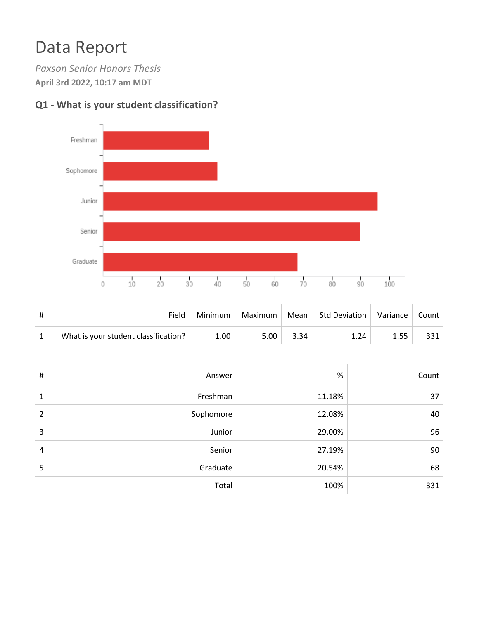## Data Report

*Paxson Senior Honors Thesis* **April 3rd 2022, 10:17 am MDT**



## **Q1 - What is your student classification?**

| Field                                | Minimum | Maximum | Mean | Std Deviation | Variance | Count |
|--------------------------------------|---------|---------|------|---------------|----------|-------|
| What is your student classification? | 1.00    | 5.00    | 3.34 | 1.24          | 1.55     | 331   |

| # | Answer    | %      | Count |
|---|-----------|--------|-------|
| 1 | Freshman  | 11.18% | 37    |
| 2 | Sophomore | 12.08% | 40    |
| 3 | Junior    | 29.00% | 96    |
| 4 | Senior    | 27.19% | 90    |
| 5 | Graduate  | 20.54% | 68    |
|   | Total     | 100%   | 331   |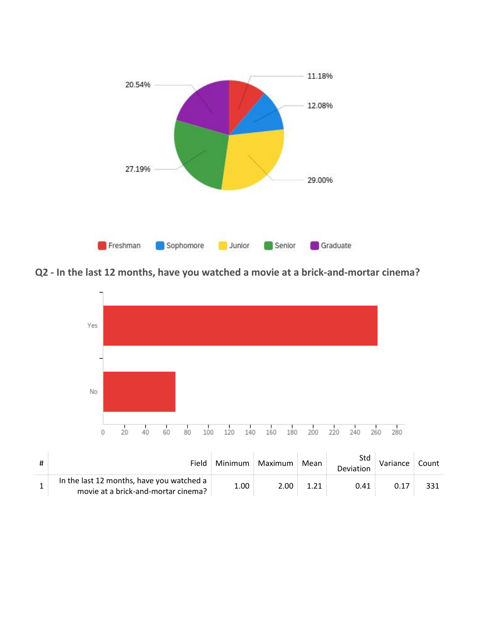

**Q2 - In the last 12 months, have you watched a movie at a brick-and-mortar cinema?**



| # | Field                                                                            | Minimum | Maximum | Mean | Std<br><b>Deviation</b> | Variance | Count |
|---|----------------------------------------------------------------------------------|---------|---------|------|-------------------------|----------|-------|
|   | In the last 12 months, have you watched a<br>movie at a brick-and-mortar cinema? | 1.00    | 2.00    |      | 0.41                    | 0.17     |       |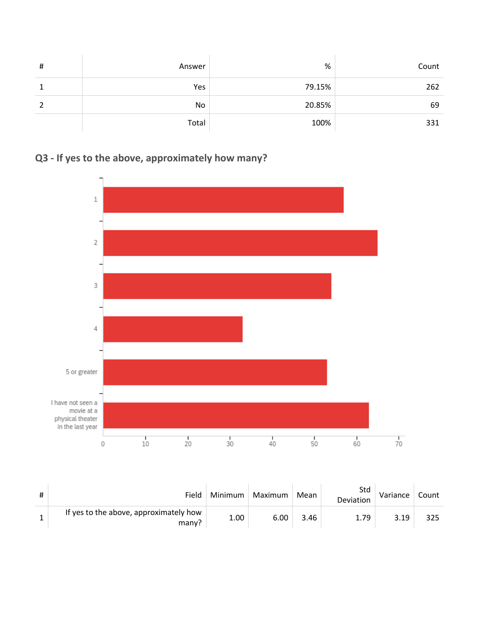| $\sharp$ | Answer | %      | Count |
|----------|--------|--------|-------|
|          | Yes    | 79.15% | 262   |
|          | No     | 20.85% | 69    |
|          | Total  | 100%   | 331   |

## **Q3 - If yes to the above, approximately how many?**



| # | Field                                           | Minimum | Maximum | Mean | Std<br>Deviation | Variance | Count |
|---|-------------------------------------------------|---------|---------|------|------------------|----------|-------|
|   | If yes to the above, approximately how<br>many? | 1.00    | 6.00    | 3.46 | 1.79             | 3.19     | 325   |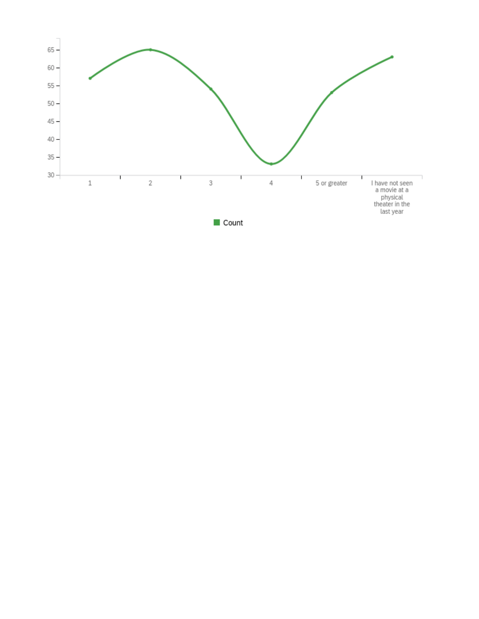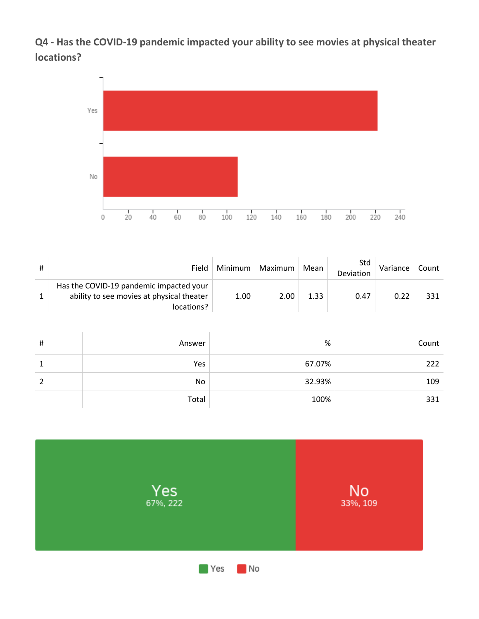**Q4 - Has the COVID-19 pandemic impacted your ability to see movies at physical theater locations?**



| Field                                                                                              | Minimum | Maximum | Mean | Std<br>Deviation | Variance | Count |
|----------------------------------------------------------------------------------------------------|---------|---------|------|------------------|----------|-------|
| Has the COVID-19 pandemic impacted your<br>ability to see movies at physical theater<br>locations? | 1.00    | 2.00    | 1.33 | 0.47             | 0.22     | 331   |

| $\sharp$ | Answer | %      | Count |
|----------|--------|--------|-------|
| 1        | Yes    | 67.07% | 222   |
|          | No     | 32.93% | 109   |
|          | Total  | 100%   | 331   |

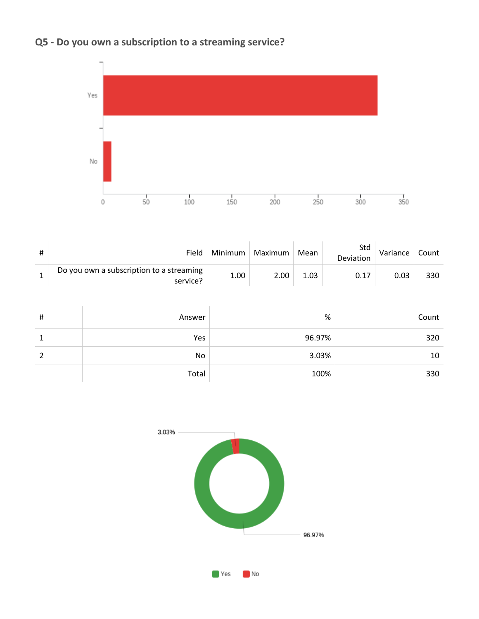## **Q5 - Do you own a subscription to a streaming service?**



| # | Field                                                | Minimum | Maximum | Mean | Std<br>Deviation | Variance | Count |
|---|------------------------------------------------------|---------|---------|------|------------------|----------|-------|
|   | Do you own a subscription to a streaming<br>service? | 1.00    | 2.00    | 1.03 | 0.17             | 0.03     | 330   |

| $\sharp$ | Answer | %      | Count |
|----------|--------|--------|-------|
|          | Yes    | 96.97% | 320   |
|          | No     | 3.03%  | 10    |
|          | Total  | 100%   | 330   |

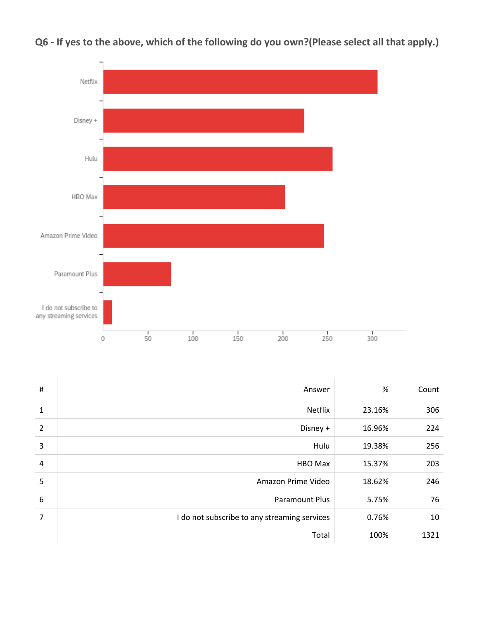

**Q6 - If yes to the above, which of the following do you own?(Please select all that apply.)**

| #              | Answer                                       | %      | Count |
|----------------|----------------------------------------------|--------|-------|
| $\mathbf{1}$   | <b>Netflix</b>                               | 23.16% | 306   |
| $\overline{2}$ | Disney +                                     | 16.96% | 224   |
| 3              | Hulu                                         | 19.38% | 256   |
| $\overline{4}$ | <b>HBO Max</b>                               | 15.37% | 203   |
| 5              | Amazon Prime Video                           | 18.62% | 246   |
| 6              | <b>Paramount Plus</b>                        | 5.75%  | 76    |
| $\overline{7}$ | I do not subscribe to any streaming services | 0.76%  | 10    |
|                | Total                                        | 100%   | 1321  |